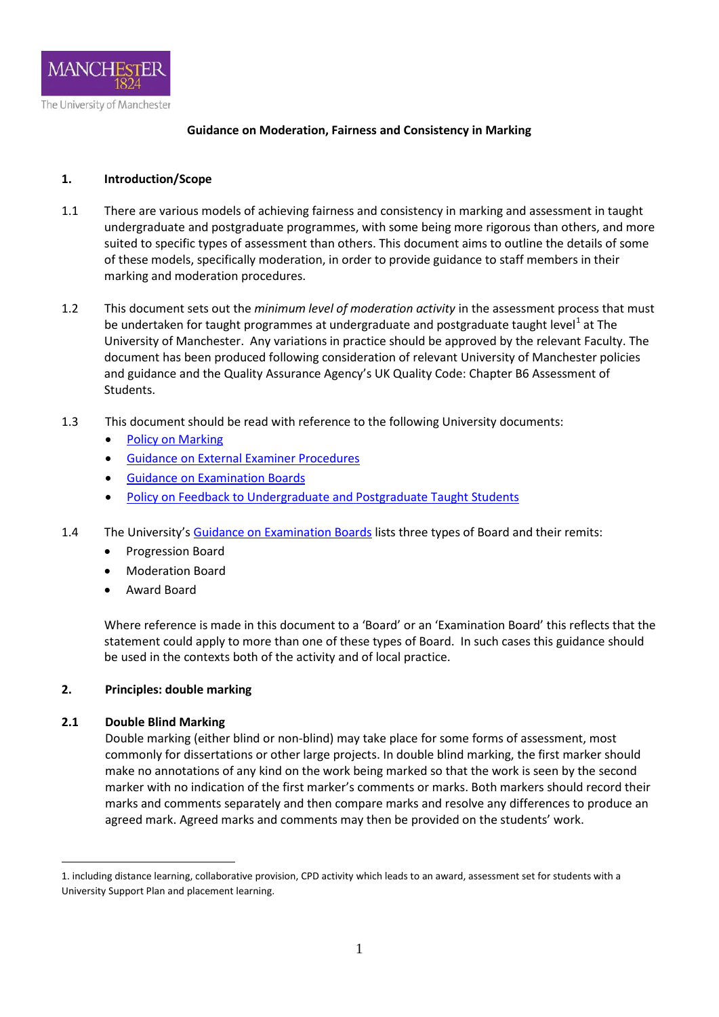

## **Guidance on Moderation, Fairness and Consistency in Marking**

## **1. Introduction/Scope**

- 1.1 There are various models of achieving fairness and consistency in marking and assessment in taught undergraduate and postgraduate programmes, with some being more rigorous than others, and more suited to specific types of assessment than others. This document aims to outline the details of some of these models, specifically moderation, in order to provide guidance to staff members in their marking and moderation procedures.
- 1.2 This document sets out the *minimum level of moderation activity* in the assessment process that must be undertaken for taught programmes at undergraduate and postgraduate taught level<sup>[1](#page-0-0)</sup> at The University of Manchester. Any variations in practice should be approved by the relevant Faculty. The document has been produced following consideration of relevant University of Manchester policies and guidance and the Quality Assurance Agency's UK Quality Code: Chapter B6 Assessment of Students.
- 1.3 This document should be read with reference to the following University documents:
	- [Policy on Marking](http://www.staffnet.manchester.ac.uk/tlso/policy-guidance/assessment/practice-of-assessment/policy-marking/)
	- [Guidance on External Examiner Procedures](http://www.staffnet.manchester.ac.uk/tlso/external-examiners/external-examiner-information-for-staff-/)
	- [Guidance on Examination Boards](http://www.staffnet.manchester.ac.uk/tlso/external-examiners/external-examiner-information-for-staff-/)
	- [Policy on Feedback to Undergraduate and Postgraduate Taught Students](http://www.staffnet.manchester.ac.uk/tlso/policy-guidance/assessment/practice-of-assessment/feedback-to-students/)
- 1.4 The University's [Guidance on Examination Boards](http://www.staffnet.manchester.ac.uk/tlso/external-examiners/external-examiner-information-for-staff-/) lists three types of Board and their remits:
	- Progression Board
	- Moderation Board
	- Award Board

Where reference is made in this document to a 'Board' or an 'Examination Board' this reflects that the statement could apply to more than one of these types of Board. In such cases this guidance should be used in the contexts both of the activity and of local practice.

#### **2. Principles: double marking**

#### **2.1 Double Blind Marking**

<u>.</u>

Double marking (either blind or non-blind) may take place for some forms of assessment, most commonly for dissertations or other large projects. In double blind marking, the first marker should make no annotations of any kind on the work being marked so that the work is seen by the second marker with no indication of the first marker's comments or marks. Both markers should record their marks and comments separately and then compare marks and resolve any differences to produce an agreed mark. Agreed marks and comments may then be provided on the students' work.

<span id="page-0-0"></span><sup>1.</sup> including distance learning, collaborative provision, CPD activity which leads to an award, assessment set for students with a University Support Plan and placement learning.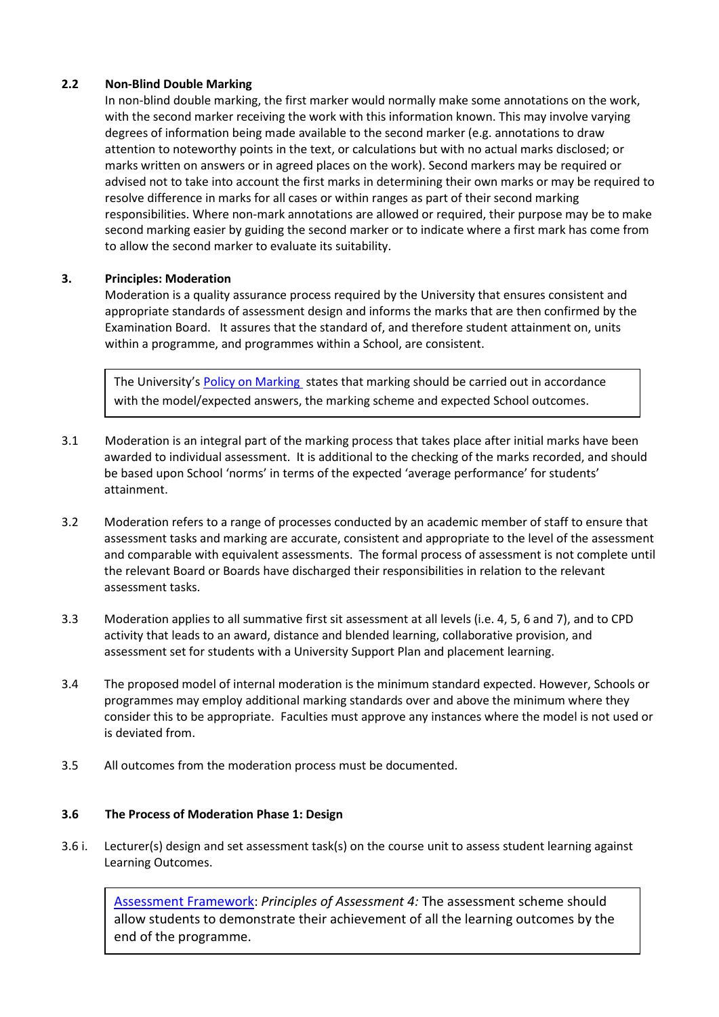## **2.2 Non-Blind Double Marking**

In non-blind double marking, the first marker would normally make some annotations on the work, with the second marker receiving the work with this information known. This may involve varying degrees of information being made available to the second marker (e.g. annotations to draw attention to noteworthy points in the text, or calculations but with no actual marks disclosed; or marks written on answers or in agreed places on the work). Second markers may be required or advised not to take into account the first marks in determining their own marks or may be required to resolve difference in marks for all cases or within ranges as part of their second marking responsibilities. Where non-mark annotations are allowed or required, their purpose may be to make second marking easier by guiding the second marker or to indicate where a first mark has come from to allow the second marker to evaluate its suitability.

## **3. Principles: Moderation**

Moderation is a quality assurance process required by the University that ensures consistent and appropriate standards of assessment design and informs the marks that are then confirmed by the Examination Board. It assures that the standard of, and therefore student attainment on, units within a programme, and programmes within a School, are consistent.

The University's [Policy on Marking](http://www.staffnet.manchester.ac.uk/tlso/policy-guidance/assessment/practice-of-assessment/policy-marking/) states that marking should be carried out in accordance with the model/expected answers, the marking scheme and expected School outcomes.

- 3.1 Moderation is an integral part of the marking process that takes place after initial marks have been awarded to individual assessment. It is additional to the checking of the marks recorded, and should be based upon School 'norms' in terms of the expected 'average performance' for students' attainment.
- 3.2 Moderation refers to a range of processes conducted by an academic member of staff to ensure that assessment tasks and marking are accurate, consistent and appropriate to the level of the assessment and comparable with equivalent assessments. The formal process of assessment is not complete until the relevant Board or Boards have discharged their responsibilities in relation to the relevant assessment tasks.
- 3.3 Moderation applies to all summative first sit assessment at all levels (i.e. 4, 5, 6 and 7), and to CPD activity that leads to an award, distance and blended learning, collaborative provision, and assessment set for students with a University Support Plan and placement learning.
- 3.4 The proposed model of internal moderation is the minimum standard expected. However, Schools or programmes may employ additional marking standards over and above the minimum where they consider this to be appropriate. Faculties must approve any instances where the model is not used or is deviated from.
- 3.5 All outcomes from the moderation process must be documented.

#### **3.6 The Process of Moderation Phase 1: Design**

3.6 i. Lecturer(s) design and set assessment task(s) on the course unit to assess student learning against Learning Outcomes.

2 [Assessment Framework:](http://documents.manchester.ac.uk/DocuInfo.aspx?DocID=7333) *Principles of Assessment 4:* The assessment scheme should allow students to demonstrate their achievement of all the learning outcomes by the end of the programme.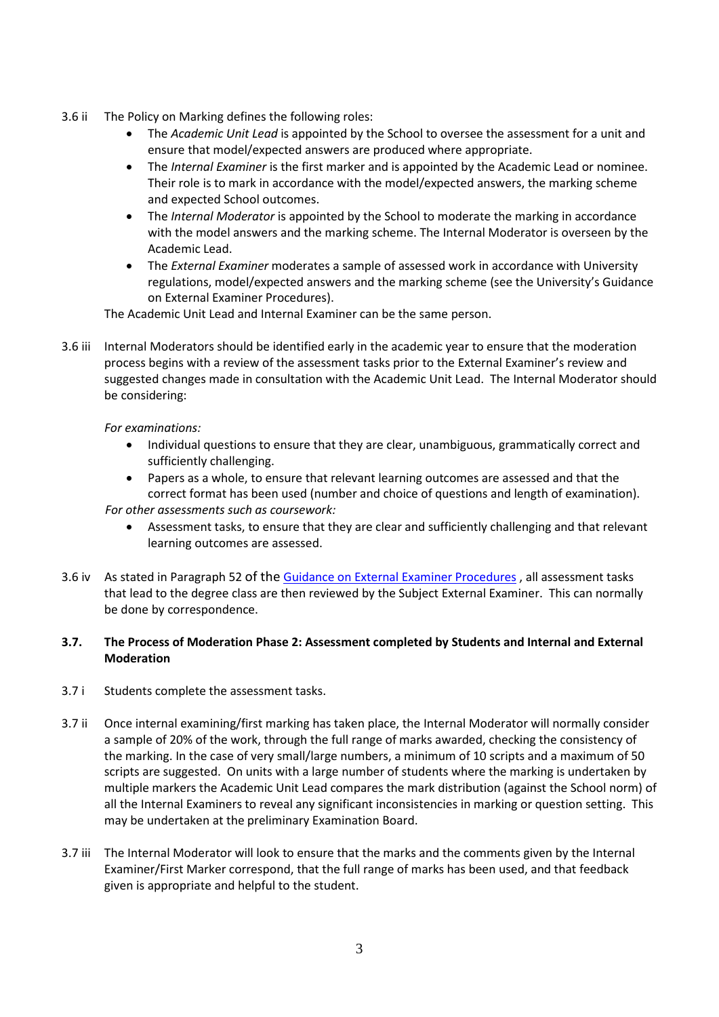- 3.6 ii The Policy on Marking defines the following roles:
	- The *Academic Unit Lead* is appointed by the School to oversee the assessment for a unit and ensure that model/expected answers are produced where appropriate.
	- The *Internal Examiner* is the first marker and is appointed by the Academic Lead or nominee. Their role is to mark in accordance with the model/expected answers, the marking scheme and expected School outcomes.
	- The *Internal Moderator* is appointed by the School to moderate the marking in accordance with the model answers and the marking scheme. The Internal Moderator is overseen by the Academic Lead.
	- The *External Examiner* moderates a sample of assessed work in accordance with University regulations, model/expected answers and the marking scheme (see the University's Guidance on External Examiner Procedures).

The Academic Unit Lead and Internal Examiner can be the same person.

3.6 iii Internal Moderators should be identified early in the academic year to ensure that the moderation process begins with a review of the assessment tasks prior to the External Examiner's review and suggested changes made in consultation with the Academic Unit Lead. The Internal Moderator should be considering:

## *For examinations:*

- Individual questions to ensure that they are clear, unambiguous, grammatically correct and sufficiently challenging.
- Papers as a whole, to ensure that relevant learning outcomes are assessed and that the correct format has been used (number and choice of questions and length of examination).

#### *For other assessments such as coursework:*

- Assessment tasks, to ensure that they are clear and sufficiently challenging and that relevant learning outcomes are assessed.
- 3.6 iv As stated in Paragraph 52 of the [Guidance on External Examiner Procedures](http://www.staffnet.manchester.ac.uk/tlso/external-examiners/external-examiner-information-for-staff-/) , all assessment tasks that lead to the degree class are then reviewed by the Subject External Examiner. This can normally be done by correspondence.

## **3.7. The Process of Moderation Phase 2: Assessment completed by Students and Internal and External Moderation**

- 3.7 i Students complete the assessment tasks.
- 3.7 ii Once internal examining/first marking has taken place, the Internal Moderator will normally consider a sample of 20% of the work, through the full range of marks awarded, checking the consistency of the marking. In the case of very small/large numbers, a minimum of 10 scripts and a maximum of 50 scripts are suggested. On units with a large number of students where the marking is undertaken by multiple markers the Academic Unit Lead compares the mark distribution (against the School norm) of all the Internal Examiners to reveal any significant inconsistencies in marking or question setting. This may be undertaken at the preliminary Examination Board.
- 3.7 iii The Internal Moderator will look to ensure that the marks and the comments given by the Internal Examiner/First Marker correspond, that the full range of marks has been used, and that feedback given is appropriate and helpful to the student.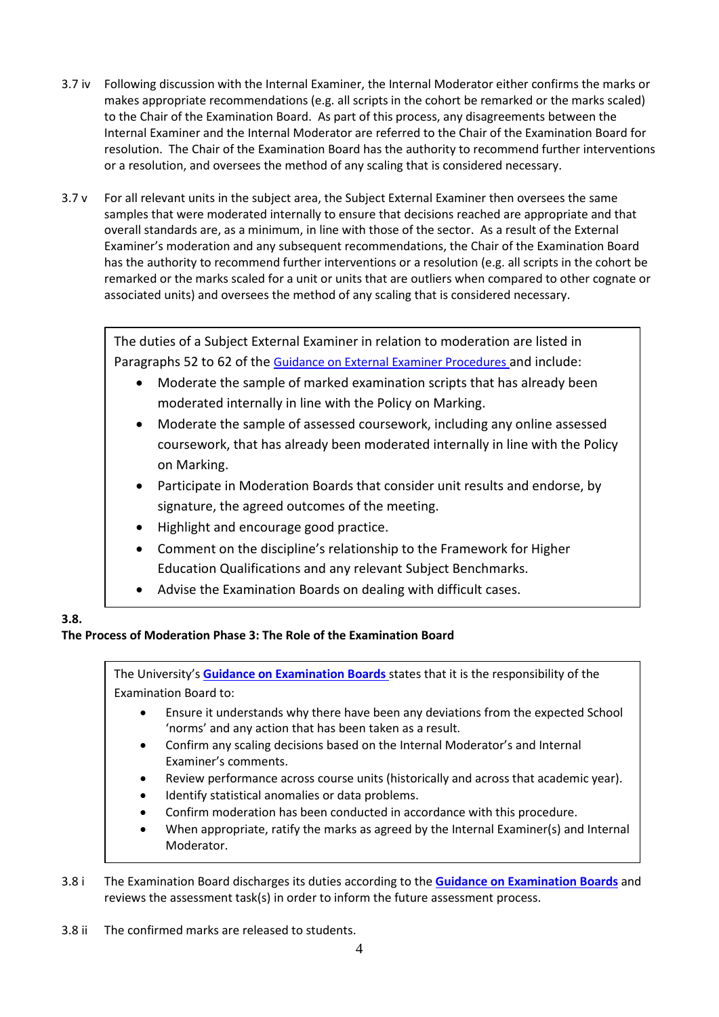- 3.7 iv Following discussion with the Internal Examiner, the Internal Moderator either confirms the marks or makes appropriate recommendations (e.g. all scripts in the cohort be remarked or the marks scaled) to the Chair of the Examination Board. As part of this process, any disagreements between the Internal Examiner and the Internal Moderator are referred to the Chair of the Examination Board for resolution. The Chair of the Examination Board has the authority to recommend further interventions or a resolution, and oversees the method of any scaling that is considered necessary.
- 3.7 v For all relevant units in the subject area, the Subject External Examiner then oversees the same samples that were moderated internally to ensure that decisions reached are appropriate and that overall standards are, as a minimum, in line with those of the sector. As a result of the External Examiner's moderation and any subsequent recommendations, the Chair of the Examination Board has the authority to recommend further interventions or a resolution (e.g. all scripts in the cohort be remarked or the marks scaled for a unit or units that are outliers when compared to other cognate or associated units) and oversees the method of any scaling that is considered necessary.

The duties of a Subject External Examiner in relation to moderation are listed in Paragraphs 52 to 62 of the [Guidance on External Examiner Procedures](http://www.staffnet.manchester.ac.uk/tlso/external-examiners/external-examiner-information-for-staff-/) and include:

- Moderate the sample of marked examination scripts that has already been moderated internally in line with the Policy on Marking.
- Moderate the sample of assessed coursework, including any online assessed coursework, that has already been moderated internally in line with the Policy on Marking.
- Participate in Moderation Boards that consider unit results and endorse, by signature, the agreed outcomes of the meeting.
- Highlight and encourage good practice.
- Comment on the discipline's relationship to the Framework for Higher Education Qualifications and any relevant Subject Benchmarks.
- Advise the Examination Boards on dealing with difficult cases.

## **3.8.**

 $\mathbf{L}$ 

# **The Process of Moderation Phase 3: The Role of the Examination Board**

The University's **[Guidance on Examination Boards](http://www.staffnet.manchester.ac.uk/tlso/external-examiners/external-examiner-information-for-staff-/)** states that it is the responsibility of the Examination Board to:

- Ensure it understands why there have been any deviations from the expected School 'norms' and any action that has been taken as a result.
- Confirm any scaling decisions based on the Internal Moderator's and Internal Examiner's comments.
- Review performance across course units (historically and across that academic year).
- Identify statistical anomalies or data problems.
- Confirm moderation has been conducted in accordance with this procedure.
- When appropriate, ratify the marks as agreed by the Internal Examiner(s) and Internal Moderator.

3.8 i The Examination Board discharges its duties according to the **[Guidance on Examination Boards](http://www.staffnet.manchester.ac.uk/tlso/external-examiners/external-examiner-information-for-staff-/)** and reviews the assessment task(s) in order to inform the future assessment process.

3.8 ii The confirmed marks are released to students.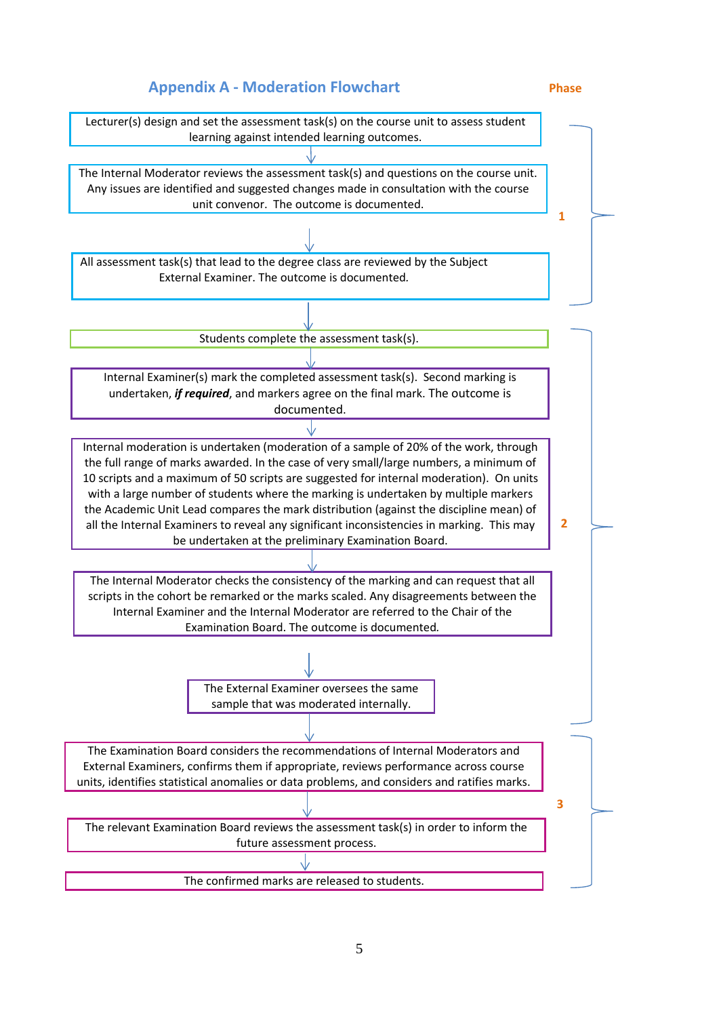